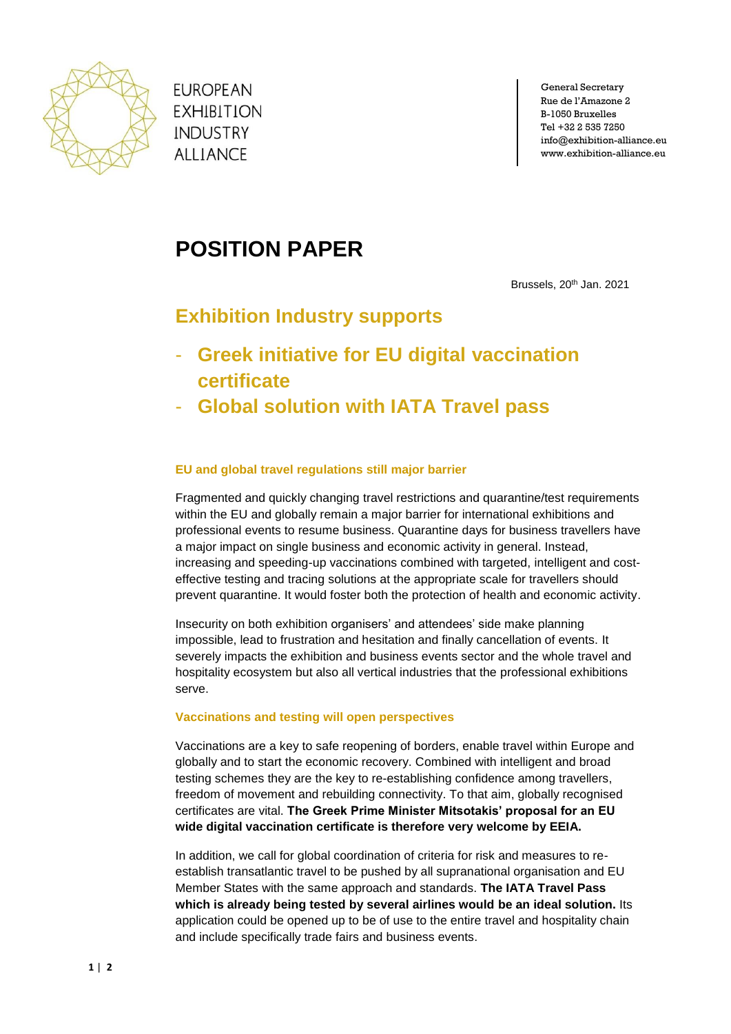

**EUROPEAN EXHIBITION INDUSTRY ALLIANCE** 

General Secretary Rue de l'Amazone 2 B-1050 Bruxelles Tel +32 2 535 7250 info@exhibition-alliance.eu www.exhibition-alliance.eu

# **POSITION PAPER**

Brussels, 20<sup>th</sup> Jan. 2021

# **Exhibition Industry supports**

- **Greek initiative for EU digital vaccination certificate**
- **Global solution with IATA Travel pass**

# **EU and global travel regulations still major barrier**

Fragmented and quickly changing travel restrictions and quarantine/test requirements within the EU and globally remain a major barrier for international exhibitions and professional events to resume business. Quarantine days for business travellers have a major impact on single business and economic activity in general. Instead, increasing and speeding-up vaccinations combined with targeted, intelligent and costeffective testing and tracing solutions at the appropriate scale for travellers should prevent quarantine. It would foster both the protection of health and economic activity.

Insecurity on both exhibition organisers' and attendees' side make planning impossible, lead to frustration and hesitation and finally cancellation of events. It severely impacts the exhibition and business events sector and the whole travel and hospitality ecosystem but also all vertical industries that the professional exhibitions serve.

### **Vaccinations and testing will open perspectives**

Vaccinations are a key to safe reopening of borders, enable travel within Europe and globally and to start the economic recovery. Combined with intelligent and broad testing schemes they are the key to re-establishing confidence among travellers, freedom of movement and rebuilding connectivity. To that aim, globally recognised certificates are vital. **The Greek Prime Minister Mitsotakis' proposal for an EU wide digital vaccination certificate is therefore very welcome by EEIA.**

In addition, we call for global coordination of criteria for risk and measures to reestablish transatlantic travel to be pushed by all supranational organisation and EU Member States with the same approach and standards. **The IATA Travel Pass which is already being tested by several airlines would be an ideal solution.** Its application could be opened up to be of use to the entire travel and hospitality chain and include specifically trade fairs and business events.